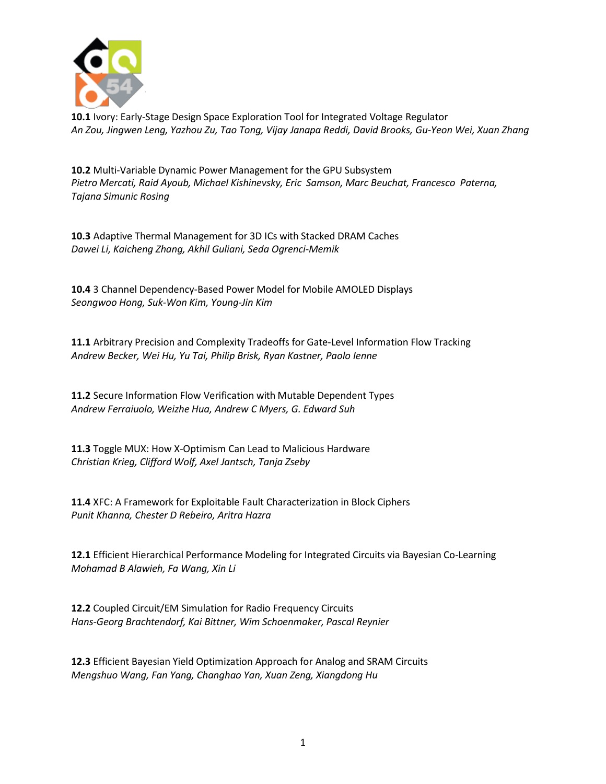

**10.1** Ivory: Early-Stage Design Space Exploration Tool for Integrated Voltage Regulator *An Zou, Jingwen Leng, Yazhou Zu, Tao Tong, Vijay Janapa Reddi, David Brooks, Gu-Yeon Wei, Xuan Zhang*

**10.2** Multi-Variable Dynamic Power Management for the GPU Subsystem *Pietro Mercati, Raid Ayoub, Michael Kishinevsky, Eric Samson, Marc Beuchat, Francesco Paterna, Tajana Simunic Rosing*

**10.3** Adaptive Thermal Management for 3D ICs with Stacked DRAM Caches *Dawei Li, Kaicheng Zhang, Akhil Guliani, Seda Ogrenci-Memik*

**10.4** 3 Channel Dependency-Based Power Model for Mobile AMOLED Displays *Seongwoo Hong, Suk-Won Kim, Young-Jin Kim*

**11.1** Arbitrary Precision and Complexity Tradeoffs for Gate-Level Information Flow Tracking *Andrew Becker, Wei Hu, Yu Tai, Philip Brisk, Ryan Kastner, Paolo Ienne*

**11.2** Secure Information Flow Verification with Mutable Dependent Types *Andrew Ferraiuolo, Weizhe Hua, Andrew C Myers, G. Edward Suh*

**11.3** Toggle MUX: How X-Optimism Can Lead to Malicious Hardware *Christian Krieg, Clifford Wolf, Axel Jantsch, Tanja Zseby*

**11.4** XFC: A Framework for Exploitable Fault Characterization in Block Ciphers *Punit Khanna, Chester D Rebeiro, Aritra Hazra*

**12.1** Efficient Hierarchical Performance Modeling for Integrated Circuits via Bayesian Co-Learning *Mohamad B Alawieh, Fa Wang, Xin Li*

**12.2** Coupled Circuit/EM Simulation for Radio Frequency Circuits *Hans-Georg Brachtendorf, Kai Bittner, Wim Schoenmaker, Pascal Reynier*

**12.3** Efficient Bayesian Yield Optimization Approach for Analog and SRAM Circuits *Mengshuo Wang, Fan Yang, Changhao Yan, Xuan Zeng, Xiangdong Hu*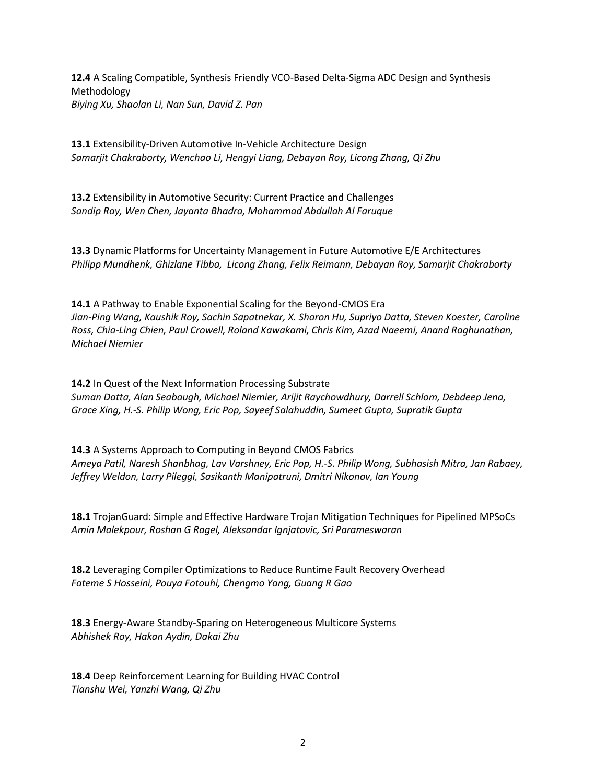**12.4** A Scaling Compatible, Synthesis Friendly VCO-Based Delta-Sigma ADC Design and Synthesis Methodology *Biying Xu, Shaolan Li, Nan Sun, David Z. Pan*

**13.1** Extensibility-Driven Automotive In-Vehicle Architecture Design *Samarjit Chakraborty, Wenchao Li, Hengyi Liang, Debayan Roy, Licong Zhang, Qi Zhu*

**13.2** Extensibility in Automotive Security: Current Practice and Challenges *Sandip Ray, Wen Chen, Jayanta Bhadra, Mohammad Abdullah Al Faruque*

**13.3** Dynamic Platforms for Uncertainty Management in Future Automotive E/E Architectures *Philipp Mundhenk, Ghizlane Tibba, Licong Zhang, Felix Reimann, Debayan Roy, Samarjit Chakraborty*

**14.1** A Pathway to Enable Exponential Scaling for the Beyond-CMOS Era *Jian-Ping Wang, Kaushik Roy, Sachin Sapatnekar, X. Sharon Hu, Supriyo Datta, Steven Koester, Caroline Ross, Chia-Ling Chien, Paul Crowell, Roland Kawakami, Chris Kim, Azad Naeemi, Anand Raghunathan, Michael Niemier*

**14.2** In Quest of the Next Information Processing Substrate *Suman Datta, Alan Seabaugh, Michael Niemier, Arijit Raychowdhury, Darrell Schlom, Debdeep Jena, Grace Xing, H.-S. Philip Wong, Eric Pop, Sayeef Salahuddin, Sumeet Gupta, Supratik Gupta*

**14.3** A Systems Approach to Computing in Beyond CMOS Fabrics *Ameya Patil, Naresh Shanbhag, Lav Varshney, Eric Pop, H.-S. Philip Wong, Subhasish Mitra, Jan Rabaey, Jeffrey Weldon, Larry Pileggi, Sasikanth Manipatruni, Dmitri Nikonov, Ian Young*

**18.1** TrojanGuard: Simple and Effective Hardware Trojan Mitigation Techniques for Pipelined MPSoCs *Amin Malekpour, Roshan G Ragel, Aleksandar Ignjatovic, Sri Parameswaran*

**18.2** Leveraging Compiler Optimizations to Reduce Runtime Fault Recovery Overhead *Fateme S Hosseini, Pouya Fotouhi, Chengmo Yang, Guang R Gao*

**18.3** Energy-Aware Standby-Sparing on Heterogeneous Multicore Systems *Abhishek Roy, Hakan Aydin, Dakai Zhu*

**18.4** Deep Reinforcement Learning for Building HVAC Control *Tianshu Wei, Yanzhi Wang, Qi Zhu*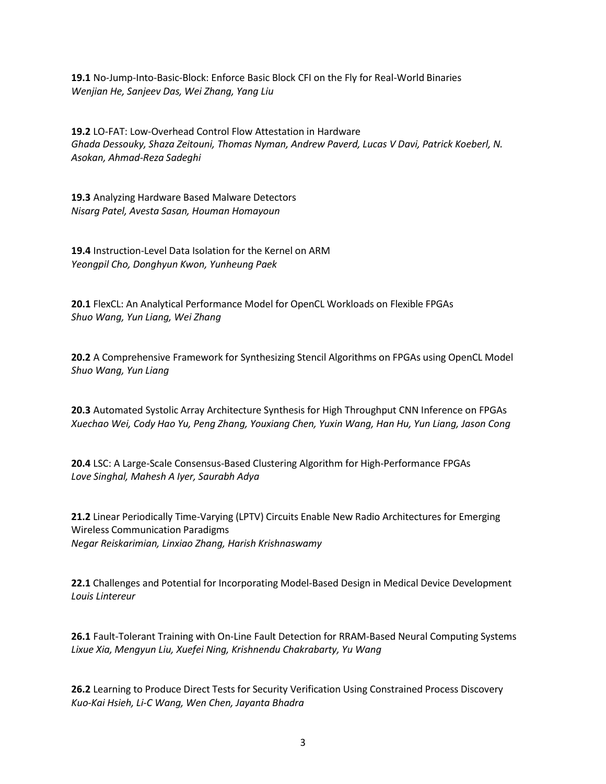**19.1** No-Jump-Into-Basic-Block: Enforce Basic Block CFI on the Fly for Real-World Binaries *Wenjian He, Sanjeev Das, Wei Zhang, Yang Liu*

**19.2** LO-FAT: Low-Overhead Control Flow Attestation in Hardware *Ghada Dessouky, Shaza Zeitouni, Thomas Nyman, Andrew Paverd, Lucas V Davi, Patrick Koeberl, N. Asokan, Ahmad-Reza Sadeghi*

**19.3** Analyzing Hardware Based Malware Detectors *Nisarg Patel, Avesta Sasan, Houman Homayoun*

**19.4** Instruction-Level Data Isolation for the Kernel on ARM *Yeongpil Cho, Donghyun Kwon, Yunheung Paek*

**20.1** FlexCL: An Analytical Performance Model for OpenCL Workloads on Flexible FPGAs *Shuo Wang, Yun Liang, Wei Zhang*

**20.2** A Comprehensive Framework for Synthesizing Stencil Algorithms on FPGAs using OpenCL Model *Shuo Wang, Yun Liang*

**20.3** Automated Systolic Array Architecture Synthesis for High Throughput CNN Inference on FPGAs *Xuechao Wei, Cody Hao Yu, Peng Zhang, Youxiang Chen, Yuxin Wang, Han Hu, Yun Liang, Jason Cong*

**20.4** LSC: A Large-Scale Consensus-Based Clustering Algorithm for High-Performance FPGAs *Love Singhal, Mahesh A Iyer, Saurabh Adya*

**21.2** Linear Periodically Time-Varying (LPTV) Circuits Enable New Radio Architectures for Emerging Wireless Communication Paradigms *Negar Reiskarimian, Linxiao Zhang, Harish Krishnaswamy*

**22.1** Challenges and Potential for Incorporating Model-Based Design in Medical Device Development *Louis Lintereur*

**26.1** Fault-Tolerant Training with On-Line Fault Detection for RRAM-Based Neural Computing Systems *Lixue Xia, Mengyun Liu, Xuefei Ning, Krishnendu Chakrabarty, Yu Wang*

**26.2** Learning to Produce Direct Tests for Security Verification Using Constrained Process Discovery *Kuo-Kai Hsieh, Li-C Wang, Wen Chen, Jayanta Bhadra*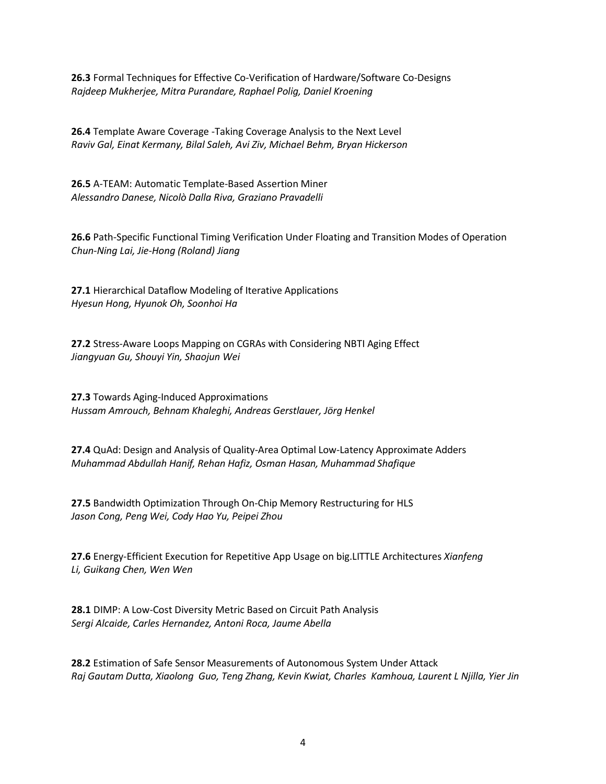**26.3** Formal Techniques for Effective Co-Verification of Hardware/Software Co-Designs *Rajdeep Mukherjee, Mitra Purandare, Raphael Polig, Daniel Kroening*

**26.4** Template Aware Coverage -Taking Coverage Analysis to the Next Level *Raviv Gal, Einat Kermany, Bilal Saleh, Avi Ziv, Michael Behm, Bryan Hickerson*

**26.5** A-TEAM: Automatic Template-Based Assertion Miner *Alessandro Danese, Nicolò Dalla Riva, Graziano Pravadelli*

**26.6** Path-Specific Functional Timing Verification Under Floating and Transition Modes of Operation *Chun-Ning Lai, Jie-Hong (Roland) Jiang*

**27.1** Hierarchical Dataflow Modeling of Iterative Applications *Hyesun Hong, Hyunok Oh, Soonhoi Ha*

**27.2** Stress-Aware Loops Mapping on CGRAs with Considering NBTI Aging Effect *Jiangyuan Gu, Shouyi Yin, Shaojun Wei*

**27.3** Towards Aging-Induced Approximations *Hussam Amrouch, Behnam Khaleghi, Andreas Gerstlauer, Jӧrg Henkel*

**27.4** QuAd: Design and Analysis of Quality-Area Optimal Low-Latency Approximate Adders *Muhammad Abdullah Hanif, Rehan Hafiz, Osman Hasan, Muhammad Shafique*

**27.5** Bandwidth Optimization Through On-Chip Memory Restructuring for HLS *Jason Cong, Peng Wei, Cody Hao Yu, Peipei Zhou*

**27.6** Energy-Efficient Execution for Repetitive App Usage on big.LITTLE Architectures *Xianfeng Li, Guikang Chen, Wen Wen*

**28.1** DIMP: A Low-Cost Diversity Metric Based on Circuit Path Analysis *Sergi Alcaide, Carles Hernandez, Antoni Roca, Jaume Abella*

**28.2** Estimation of Safe Sensor Measurements of Autonomous System Under Attack *Raj Gautam Dutta, Xiaolong Guo, Teng Zhang, Kevin Kwiat, Charles Kamhoua, Laurent L Njilla, Yier Jin*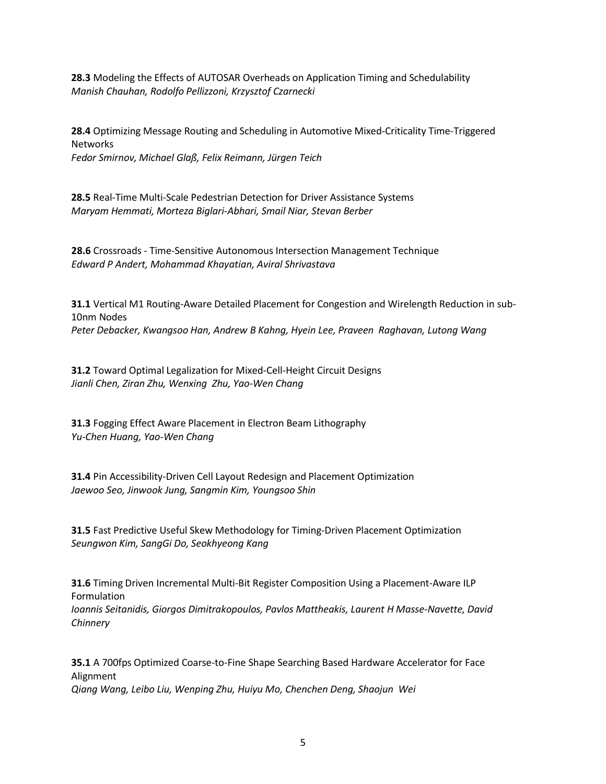**28.3** Modeling the Effects of AUTOSAR Overheads on Application Timing and Schedulability *Manish Chauhan, Rodolfo Pellizzoni, Krzysztof Czarnecki*

**28.4** Optimizing Message Routing and Scheduling in Automotive Mixed-Criticality Time-Triggered **Networks** *Fedor Smirnov, Michael Glaß, Felix Reimann, Jürgen Teich*

**28.5** Real-Time Multi-Scale Pedestrian Detection for Driver Assistance Systems *Maryam Hemmati, Morteza Biglari-Abhari, Smail Niar, Stevan Berber*

**28.6** Crossroads - Time-Sensitive Autonomous Intersection Management Technique *Edward P Andert, Mohammad Khayatian, Aviral Shrivastava*

**31.1** Vertical M1 Routing-Aware Detailed Placement for Congestion and Wirelength Reduction in sub-10nm Nodes *Peter Debacker, Kwangsoo Han, Andrew B Kahng, Hyein Lee, Praveen Raghavan, Lutong Wang*

**31.2** Toward Optimal Legalization for Mixed-Cell-Height Circuit Designs *Jianli Chen, Ziran Zhu, Wenxing Zhu, Yao-Wen Chang*

**31.3** Fogging Effect Aware Placement in Electron Beam Lithography *Yu-Chen Huang, Yao-Wen Chang*

**31.4** Pin Accessibility-Driven Cell Layout Redesign and Placement Optimization *Jaewoo Seo, Jinwook Jung, Sangmin Kim, Youngsoo Shin*

**31.5** Fast Predictive Useful Skew Methodology for Timing-Driven Placement Optimization *Seungwon Kim, SangGi Do, Seokhyeong Kang*

**31.6** Timing Driven Incremental Multi-Bit Register Composition Using a Placement-Aware ILP Formulation *Ioannis Seitanidis, Giorgos Dimitrakopoulos, Pavlos Mattheakis, Laurent H Masse-Navette, David Chinnery*

**35.1** A 700fps Optimized Coarse-to-Fine Shape Searching Based Hardware Accelerator for Face Alignment *Qiang Wang, Leibo Liu, Wenping Zhu, Huiyu Mo, Chenchen Deng, Shaojun Wei*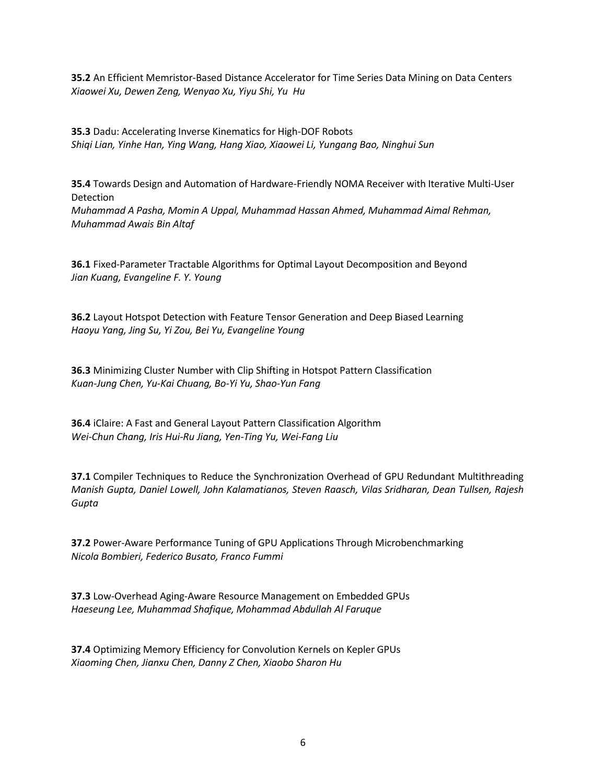**35.2** An Efficient Memristor-Based Distance Accelerator for Time Series Data Mining on Data Centers *Xiaowei Xu, Dewen Zeng, Wenyao Xu, Yiyu Shi, Yu Hu*

**35.3** Dadu: Accelerating Inverse Kinematics for High-DOF Robots *Shiqi Lian, Yinhe Han, Ying Wang, Hang Xiao, Xiaowei Li, Yungang Bao, Ninghui Sun*

**35.4** Towards Design and Automation of Hardware-Friendly NOMA Receiver with Iterative Multi-User Detection

*Muhammad A Pasha, Momin A Uppal, Muhammad Hassan Ahmed, Muhammad Aimal Rehman, Muhammad Awais Bin Altaf*

**36.1** Fixed-Parameter Tractable Algorithms for Optimal Layout Decomposition and Beyond *Jian Kuang, Evangeline F. Y. Young*

**36.2** Layout Hotspot Detection with Feature Tensor Generation and Deep Biased Learning *Haoyu Yang, Jing Su, Yi Zou, Bei Yu, Evangeline Young*

**36.3** Minimizing Cluster Number with Clip Shifting in Hotspot Pattern Classification *Kuan-Jung Chen, Yu-Kai Chuang, Bo-Yi Yu, Shao-Yun Fang*

**36.4** iClaire: A Fast and General Layout Pattern Classification Algorithm *Wei-Chun Chang, Iris Hui-Ru Jiang, Yen-Ting Yu, Wei-Fang Liu*

**37.1** Compiler Techniques to Reduce the Synchronization Overhead of GPU Redundant Multithreading *Manish Gupta, Daniel Lowell, John Kalamatianos, Steven Raasch, Vilas Sridharan, Dean Tullsen, Rajesh Gupta*

**37.2** Power-Aware Performance Tuning of GPU Applications Through Microbenchmarking *Nicola Bombieri, Federico Busato, Franco Fummi*

**37.3** Low-Overhead Aging-Aware Resource Management on Embedded GPUs *Haeseung Lee, Muhammad Shafique, Mohammad Abdullah Al Faruque*

**37.4** Optimizing Memory Efficiency for Convolution Kernels on Kepler GPUs *Xiaoming Chen, Jianxu Chen, Danny Z Chen, Xiaobo Sharon Hu*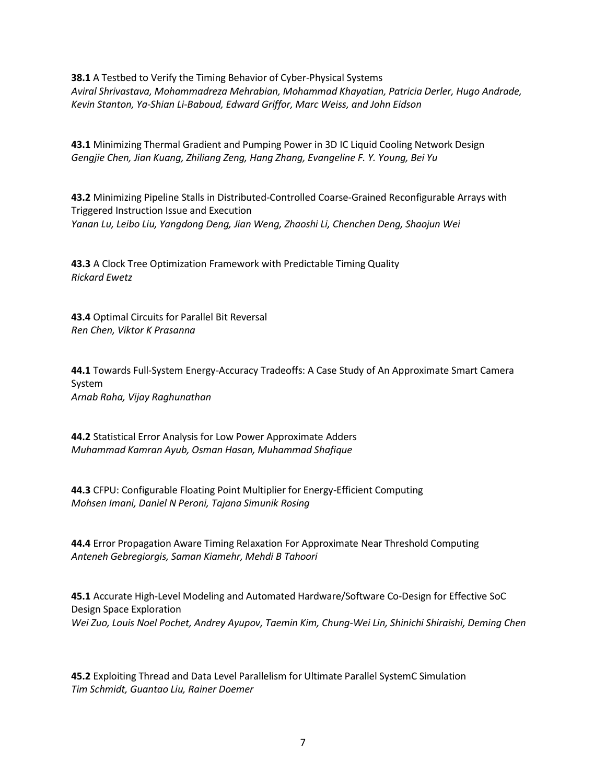**38.1** A Testbed to Verify the Timing Behavior of Cyber-Physical Systems *Aviral Shrivastava, Mohammadreza Mehrabian, Mohammad Khayatian, Patricia Derler, Hugo Andrade, Kevin Stanton, Ya-Shian Li-Baboud, Edward Griffor, Marc Weiss, and John Eidson*

**43.1** Minimizing Thermal Gradient and Pumping Power in 3D IC Liquid Cooling Network Design *Gengjie Chen, Jian Kuang, Zhiliang Zeng, Hang Zhang, Evangeline F. Y. Young, Bei Yu*

**43.2** Minimizing Pipeline Stalls in Distributed-Controlled Coarse-Grained Reconfigurable Arrays with Triggered Instruction Issue and Execution *Yanan Lu, Leibo Liu, Yangdong Deng, Jian Weng, Zhaoshi Li, Chenchen Deng, Shaojun Wei*

**43.3** A Clock Tree Optimization Framework with Predictable Timing Quality *Rickard Ewetz*

**43.4** Optimal Circuits for Parallel Bit Reversal *Ren Chen, Viktor K Prasanna*

**44.1** Towards Full-System Energy-Accuracy Tradeoffs: A Case Study of An Approximate Smart Camera System *Arnab Raha, Vijay Raghunathan*

**44.2** Statistical Error Analysis for Low Power Approximate Adders *Muhammad Kamran Ayub, Osman Hasan, Muhammad Shafique*

**44.3** CFPU: Configurable Floating Point Multiplier for Energy-Efficient Computing *Mohsen Imani, Daniel N Peroni, Tajana Simunik Rosing*

**44.4** Error Propagation Aware Timing Relaxation For Approximate Near Threshold Computing *Anteneh Gebregiorgis, Saman Kiamehr, Mehdi B Tahoori*

**45.1** Accurate High-Level Modeling and Automated Hardware/Software Co-Design for Effective SoC Design Space Exploration *Wei Zuo, Louis Noel Pochet, Andrey Ayupov, Taemin Kim, Chung-Wei Lin, Shinichi Shiraishi, Deming Chen*

**45.2** Exploiting Thread and Data Level Parallelism for Ultimate Parallel SystemC Simulation *Tim Schmidt, Guantao Liu, Rainer Doemer*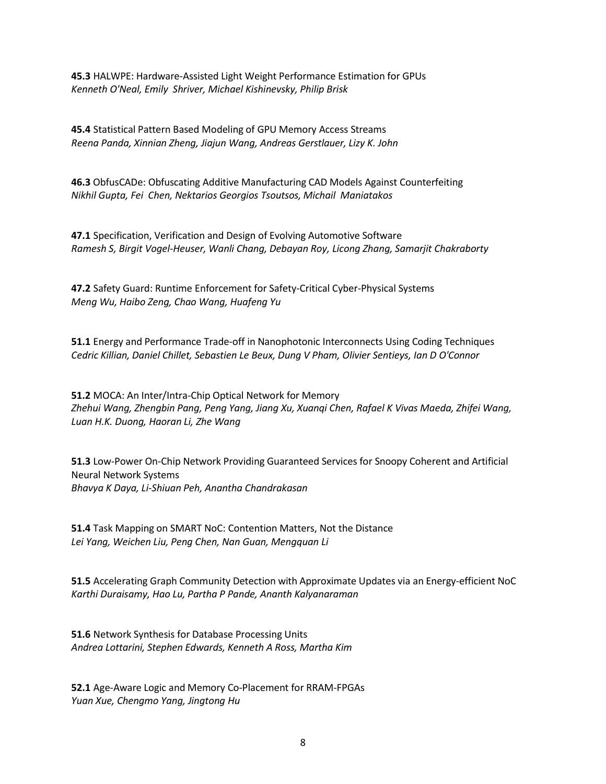**45.3** HALWPE: Hardware-Assisted Light Weight Performance Estimation for GPUs *Kenneth O'Neal, Emily Shriver, Michael Kishinevsky, Philip Brisk*

**45.4** Statistical Pattern Based Modeling of GPU Memory Access Streams *Reena Panda, Xinnian Zheng, Jiajun Wang, Andreas Gerstlauer, Lizy K. John*

**46.3** ObfusCADe: Obfuscating Additive Manufacturing CAD Models Against Counterfeiting *Nikhil Gupta, Fei Chen, Nektarios Georgios Tsoutsos, Michail Maniatakos*

**47.1** Specification, Verification and Design of Evolving Automotive Software *Ramesh S, Birgit Vogel-Heuser, Wanli Chang, Debayan Roy, Licong Zhang, Samarjit Chakraborty*

**47.2** Safety Guard: Runtime Enforcement for Safety-Critical Cyber-Physical Systems *Meng Wu, Haibo Zeng, Chao Wang, Huafeng Yu*

**51.1** Energy and Performance Trade-off in Nanophotonic Interconnects Using Coding Techniques *Cedric Killian, Daniel Chillet, Sebastien Le Beux, Dung V Pham, Olivier Sentieys, Ian D O'Connor*

**51.2** MOCA: An Inter/Intra-Chip Optical Network for Memory *Zhehui Wang, Zhengbin Pang, Peng Yang, Jiang Xu, Xuanqi Chen, Rafael K Vivas Maeda, Zhifei Wang, Luan H.K. Duong, Haoran Li, Zhe Wang*

**51.3** Low-Power On-Chip Network Providing Guaranteed Services for Snoopy Coherent and Artificial Neural Network Systems *Bhavya K Daya, Li-Shiuan Peh, Anantha Chandrakasan*

**51.4** Task Mapping on SMART NoC: Contention Matters, Not the Distance *Lei Yang, Weichen Liu, Peng Chen, Nan Guan, Mengquan Li*

**51.5** Accelerating Graph Community Detection with Approximate Updates via an Energy-efficient NoC *Karthi Duraisamy, Hao Lu, Partha P Pande, Ananth Kalyanaraman*

**51.6** Network Synthesis for Database Processing Units *Andrea Lottarini, Stephen Edwards, Kenneth A Ross, Martha Kim*

**52.1** Age-Aware Logic and Memory Co-Placement for RRAM-FPGAs *Yuan Xue, Chengmo Yang, Jingtong Hu*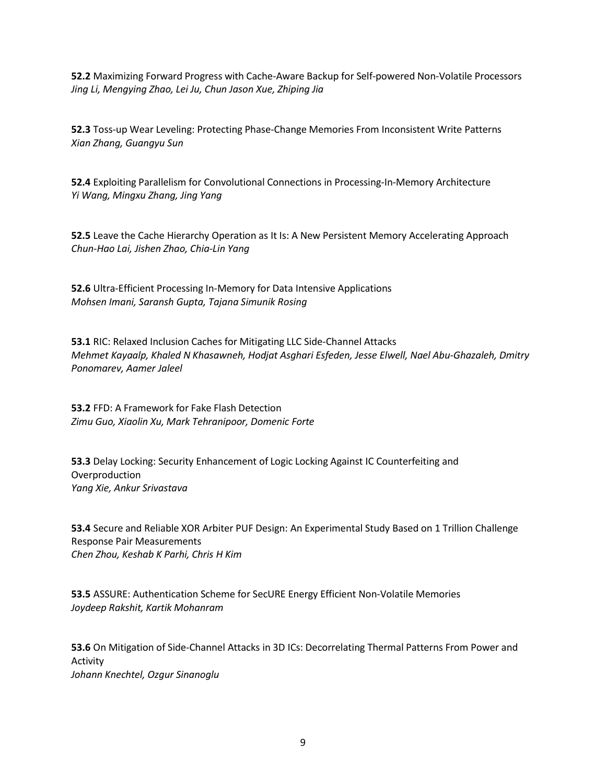**52.2** Maximizing Forward Progress with Cache-Aware Backup for Self-powered Non-Volatile Processors *Jing Li, Mengying Zhao, Lei Ju, Chun Jason Xue, Zhiping Jia*

**52.3** Toss-up Wear Leveling: Protecting Phase-Change Memories From Inconsistent Write Patterns *Xian Zhang, Guangyu Sun*

**52.4** Exploiting Parallelism for Convolutional Connections in Processing-In-Memory Architecture *Yi Wang, Mingxu Zhang, Jing Yang*

**52.5** Leave the Cache Hierarchy Operation as It Is: A New Persistent Memory Accelerating Approach *Chun-Hao Lai, Jishen Zhao, Chia-Lin Yang*

**52.6** Ultra-Efficient Processing In-Memory for Data Intensive Applications *Mohsen Imani, Saransh Gupta, Tajana Simunik Rosing*

**53.1** RIC: Relaxed Inclusion Caches for Mitigating LLC Side-Channel Attacks *Mehmet Kayaalp, Khaled N Khasawneh, Hodjat Asghari Esfeden, Jesse Elwell, Nael Abu-Ghazaleh, Dmitry Ponomarev, Aamer Jaleel*

**53.2** FFD: A Framework for Fake Flash Detection *Zimu Guo, Xiaolin Xu, Mark Tehranipoor, Domenic Forte*

**53.3** Delay Locking: Security Enhancement of Logic Locking Against IC Counterfeiting and Overproduction *Yang Xie, Ankur Srivastava*

**53.4** Secure and Reliable XOR Arbiter PUF Design: An Experimental Study Based on 1 Trillion Challenge Response Pair Measurements *Chen Zhou, Keshab K Parhi, Chris H Kim*

**53.5** ASSURE: Authentication Scheme for SecURE Energy Efficient Non-Volatile Memories *Joydeep Rakshit, Kartik Mohanram*

**53.6** On Mitigation of Side-Channel Attacks in 3D ICs: Decorrelating Thermal Patterns From Power and Activity *Johann Knechtel, Ozgur Sinanoglu*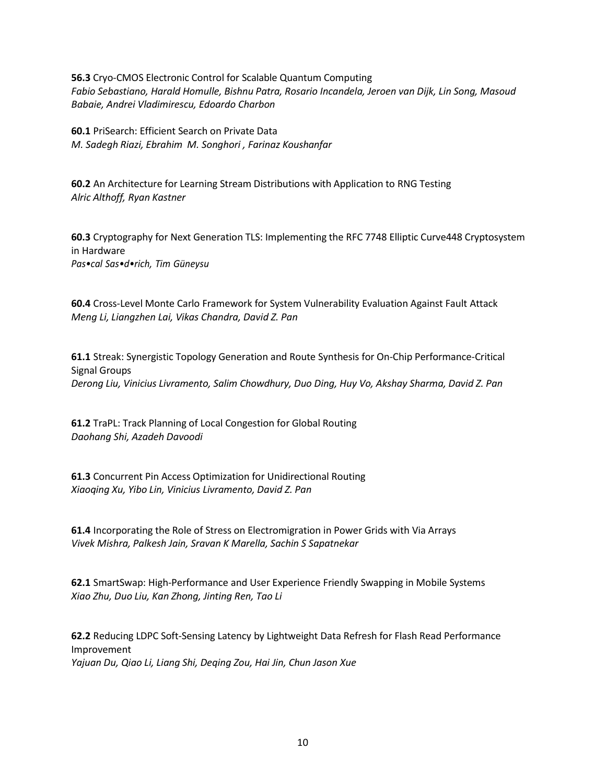**56.3** Cryo-CMOS Electronic Control for Scalable Quantum Computing *Fabio Sebastiano, Harald Homulle, Bishnu Patra, Rosario Incandela, Jeroen van Dijk, Lin Song, Masoud Babaie, Andrei Vladimirescu, Edoardo Charbon*

**60.1** PriSearch: Efficient Search on Private Data *M. Sadegh Riazi, Ebrahim M. Songhori , Farinaz Koushanfar*

**60.2** An Architecture for Learning Stream Distributions with Application to RNG Testing *Alric Althoff, Ryan Kastner*

**60.3** Cryptography for Next Generation TLS: Implementing the RFC 7748 Elliptic Curve448 Cryptosystem in Hardware *Pas•cal Sas•d•rich, Tim Güneysu*

**60.4** Cross-Level Monte Carlo Framework for System Vulnerability Evaluation Against Fault Attack *Meng Li, Liangzhen Lai, Vikas Chandra, David Z. Pan*

**61.1** Streak: Synergistic Topology Generation and Route Synthesis for On-Chip Performance-Critical Signal Groups *Derong Liu, Vinicius Livramento, Salim Chowdhury, Duo Ding, Huy Vo, Akshay Sharma, David Z. Pan*

**61.2** TraPL: Track Planning of Local Congestion for Global Routing *Daohang Shi, Azadeh Davoodi*

**61.3** Concurrent Pin Access Optimization for Unidirectional Routing *Xiaoqing Xu, Yibo Lin, Vinicius Livramento, David Z. Pan*

**61.4** Incorporating the Role of Stress on Electromigration in Power Grids with Via Arrays *Vivek Mishra, Palkesh Jain, Sravan K Marella, Sachin S Sapatnekar*

**62.1** SmartSwap: High-Performance and User Experience Friendly Swapping in Mobile Systems *Xiao Zhu, Duo Liu, Kan Zhong, Jinting Ren, Tao Li*

**62.2** Reducing LDPC Soft-Sensing Latency by Lightweight Data Refresh for Flash Read Performance Improvement *Yajuan Du, Qiao Li, Liang Shi, Deqing Zou, Hai Jin, Chun Jason Xue*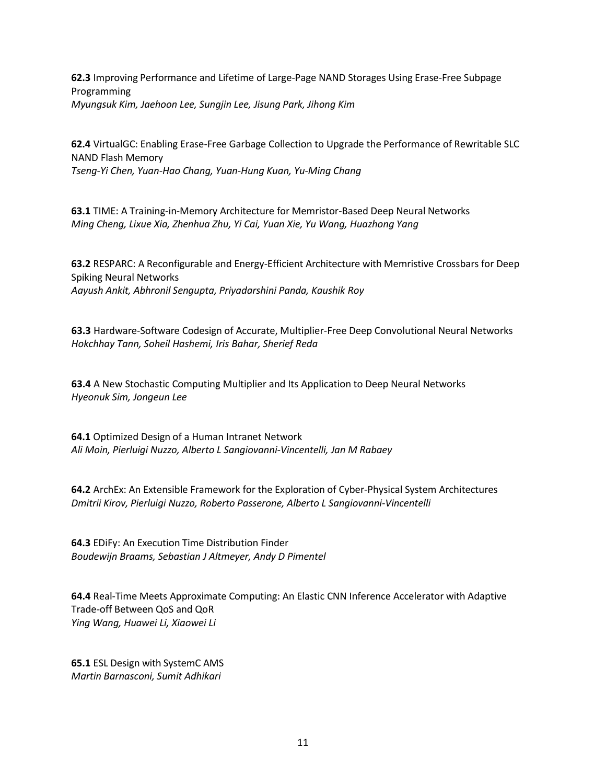**62.3** Improving Performance and Lifetime of Large-Page NAND Storages Using Erase-Free Subpage Programming *Myungsuk Kim, Jaehoon Lee, Sungjin Lee, Jisung Park, Jihong Kim*

**62.4** VirtualGC: Enabling Erase-Free Garbage Collection to Upgrade the Performance of Rewritable SLC NAND Flash Memory *Tseng-Yi Chen, Yuan-Hao Chang, Yuan-Hung Kuan, Yu-Ming Chang*

**63.1** TIME: A Training-in-Memory Architecture for Memristor-Based Deep Neural Networks *Ming Cheng, Lixue Xia, Zhenhua Zhu, Yi Cai, Yuan Xie, Yu Wang, Huazhong Yang*

**63.2** RESPARC: A Reconfigurable and Energy-Efficient Architecture with Memristive Crossbars for Deep Spiking Neural Networks *Aayush Ankit, Abhronil Sengupta, Priyadarshini Panda, Kaushik Roy*

**63.3** Hardware-Software Codesign of Accurate, Multiplier-Free Deep Convolutional Neural Networks *Hokchhay Tann, Soheil Hashemi, Iris Bahar, Sherief Reda*

**63.4** A New Stochastic Computing Multiplier and Its Application to Deep Neural Networks *Hyeonuk Sim, Jongeun Lee*

**64.1** Optimized Design of a Human Intranet Network *Ali Moin, Pierluigi Nuzzo, Alberto L Sangiovanni-Vincentelli, Jan M Rabaey*

**64.2** ArchEx: An Extensible Framework for the Exploration of Cyber-Physical System Architectures *Dmitrii Kirov, Pierluigi Nuzzo, Roberto Passerone, Alberto L Sangiovanni-Vincentelli*

**64.3** EDiFy: An Execution Time Distribution Finder *Boudewijn Braams, Sebastian J Altmeyer, Andy D Pimentel*

**64.4** Real-Time Meets Approximate Computing: An Elastic CNN Inference Accelerator with Adaptive Trade-off Between QoS and QoR *Ying Wang, Huawei Li, Xiaowei Li*

**65.1** ESL Design with SystemC AMS *Martin Barnasconi, Sumit Adhikari*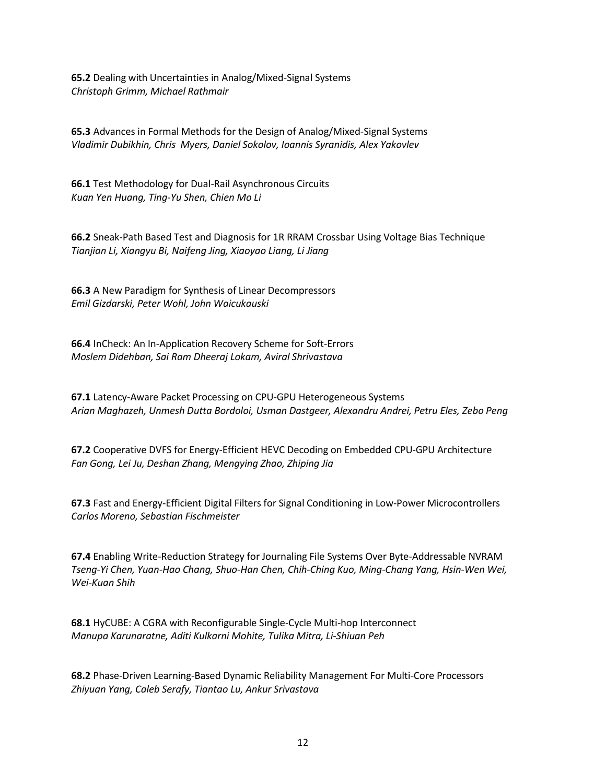**65.2** Dealing with Uncertainties in Analog/Mixed-Signal Systems *Christoph Grimm, Michael Rathmair*

**65.3** Advances in Formal Methods for the Design of Analog/Mixed-Signal Systems *Vladimir Dubikhin, Chris Myers, Daniel Sokolov, Ioannis Syranidis, Alex Yakovlev*

**66.1** Test Methodology for Dual-Rail Asynchronous Circuits *Kuan Yen Huang, Ting-Yu Shen, Chien Mo Li*

**66.2** Sneak-Path Based Test and Diagnosis for 1R RRAM Crossbar Using Voltage Bias Technique *Tianjian Li, Xiangyu Bi, Naifeng Jing, Xiaoyao Liang, Li Jiang*

**66.3** A New Paradigm for Synthesis of Linear Decompressors *Emil Gizdarski, Peter Wohl, John Waicukauski*

**66.4** InCheck: An In-Application Recovery Scheme for Soft-Errors *Moslem Didehban, Sai Ram Dheeraj Lokam, Aviral Shrivastava*

**67.1** Latency-Aware Packet Processing on CPU-GPU Heterogeneous Systems *Arian Maghazeh, Unmesh Dutta Bordoloi, Usman Dastgeer, Alexandru Andrei, Petru Eles, Zebo Peng*

**67.2** Cooperative DVFS for Energy-Efficient HEVC Decoding on Embedded CPU-GPU Architecture *Fan Gong, Lei Ju, Deshan Zhang, Mengying Zhao, Zhiping Jia*

**67.3** Fast and Energy-Efficient Digital Filters for Signal Conditioning in Low-Power Microcontrollers *Carlos Moreno, Sebastian Fischmeister*

**67.4** Enabling Write-Reduction Strategy for Journaling File Systems Over Byte-Addressable NVRAM *Tseng-Yi Chen, Yuan-Hao Chang, Shuo-Han Chen, Chih-Ching Kuo, Ming-Chang Yang, Hsin-Wen Wei, Wei-Kuan Shih*

**68.1** HyCUBE: A CGRA with Reconfigurable Single-Cycle Multi-hop Interconnect *Manupa Karunaratne, Aditi Kulkarni Mohite, Tulika Mitra, Li-Shiuan Peh*

**68.2** Phase-Driven Learning-Based Dynamic Reliability Management For Multi-Core Processors *Zhiyuan Yang, Caleb Serafy, Tiantao Lu, Ankur Srivastava*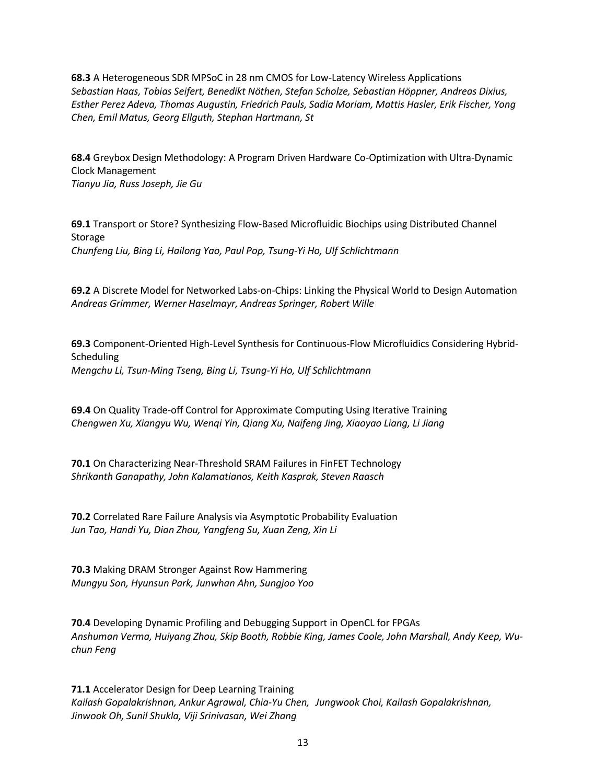**68.3** A Heterogeneous SDR MPSoC in 28 nm CMOS for Low-Latency Wireless Applications *Sebastian Haas, Tobias Seifert, Benedikt Nöthen, Stefan Scholze, Sebastian Höppner, Andreas Dixius, Esther Perez Adeva, Thomas Augustin, Friedrich Pauls, Sadia Moriam, Mattis Hasler, Erik Fischer, Yong Chen, Emil Matus, Georg Ellguth, Stephan Hartmann, St*

**68.4** Greybox Design Methodology: A Program Driven Hardware Co-Optimization with Ultra-Dynamic Clock Management *Tianyu Jia, Russ Joseph, Jie Gu*

**69.1** Transport or Store? Synthesizing Flow-Based Microfluidic Biochips using Distributed Channel Storage *Chunfeng Liu, Bing Li, Hailong Yao, Paul Pop, Tsung-Yi Ho, Ulf Schlichtmann*

**69.2** A Discrete Model for Networked Labs-on-Chips: Linking the Physical World to Design Automation *Andreas Grimmer, Werner Haselmayr, Andreas Springer, Robert Wille*

**69.3** Component-Oriented High-Level Synthesis for Continuous-Flow Microfluidics Considering Hybrid-Scheduling *Mengchu Li, Tsun-Ming Tseng, Bing Li, Tsung-Yi Ho, Ulf Schlichtmann*

**69.4** On Quality Trade-off Control for Approximate Computing Using Iterative Training *Chengwen Xu, Xiangyu Wu, Wenqi Yin, Qiang Xu, Naifeng Jing, Xiaoyao Liang, Li Jiang*

**70.1** On Characterizing Near-Threshold SRAM Failures in FinFET Technology *Shrikanth Ganapathy, John Kalamatianos, Keith Kasprak, Steven Raasch*

**70.2** Correlated Rare Failure Analysis via Asymptotic Probability Evaluation *Jun Tao, Handi Yu, Dian Zhou, Yangfeng Su, Xuan Zeng, Xin Li*

**70.3** Making DRAM Stronger Against Row Hammering *Mungyu Son, Hyunsun Park, Junwhan Ahn, Sungjoo Yoo*

**70.4** Developing Dynamic Profiling and Debugging Support in OpenCL for FPGAs *Anshuman Verma, Huiyang Zhou, Skip Booth, Robbie King, James Coole, John Marshall, Andy Keep, Wuchun Feng*

**71.1** Accelerator Design for Deep Learning Training *Kailash Gopalakrishnan, Ankur Agrawal, Chia-Yu Chen, Jungwook Choi, Kailash Gopalakrishnan, Jinwook Oh, Sunil Shukla, Viji Srinivasan, Wei Zhang*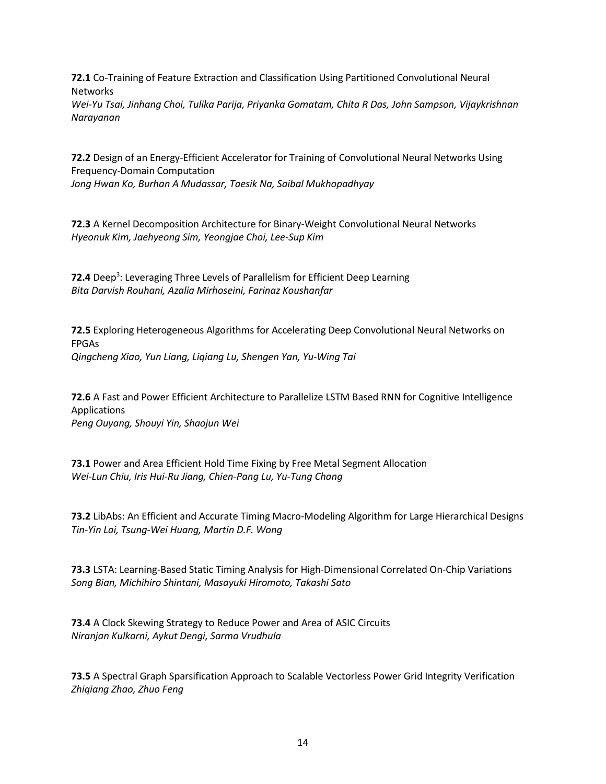**72.1** Co-Training of Feature Extraction and Classification Using Partitioned Convolutional Neural Networks *Wei-Yu Tsai, Jinhang Choi, Tulika Parija, Priyanka Gomatam, Chita R Das, John Sampson, Vijaykrishnan*

*Narayanan*

**72.2** Design of an Energy-Efficient Accelerator for Training of Convolutional Neural Networks Using Frequency-Domain Computation

*Jong Hwan Ko, Burhan A Mudassar, Taesik Na, Saibal Mukhopadhyay*

**72.3** A Kernel Decomposition Architecture for Binary-Weight Convolutional Neural Networks *Hyeonuk Kim, Jaehyeong Sim, Yeongjae Choi, Lee-Sup Kim*

**72.4** Deep<sup>3</sup>: Leveraging Three Levels of Parallelism for Efficient Deep Learning *Bita Darvish Rouhani, Azalia Mirhoseini, Farinaz Koushanfar*

**72.5** Exploring Heterogeneous Algorithms for Accelerating Deep Convolutional Neural Networks on FPGAs *Qingcheng Xiao, Yun Liang, Liqiang Lu, Shengen Yan, Yu-Wing Tai*

**72.6** A Fast and Power Efficient Architecture to Parallelize LSTM Based RNN for Cognitive Intelligence Applications *Peng Ouyang, Shouyi Yin, Shaojun Wei*

**73.1** Power and Area Efficient Hold Time Fixing by Free Metal Segment Allocation *Wei-Lun Chiu, Iris Hui-Ru Jiang, Chien-Pang Lu, Yu-Tung Chang*

**73.2** LibAbs: An Efficient and Accurate Timing Macro-Modeling Algorithm for Large Hierarchical Designs *Tin-Yin Lai, Tsung-Wei Huang, Martin D.F. Wong*

**73.3** LSTA: Learning-Based Static Timing Analysis for High-Dimensional Correlated On-Chip Variations *Song Bian, Michihiro Shintani, Masayuki Hiromoto, Takashi Sato*

**73.4** A Clock Skewing Strategy to Reduce Power and Area of ASIC Circuits *Niranjan Kulkarni, Aykut Dengi, Sarma Vrudhula*

**73.5** A Spectral Graph Sparsification Approach to Scalable Vectorless Power Grid Integrity Verification *Zhiqiang Zhao, Zhuo Feng*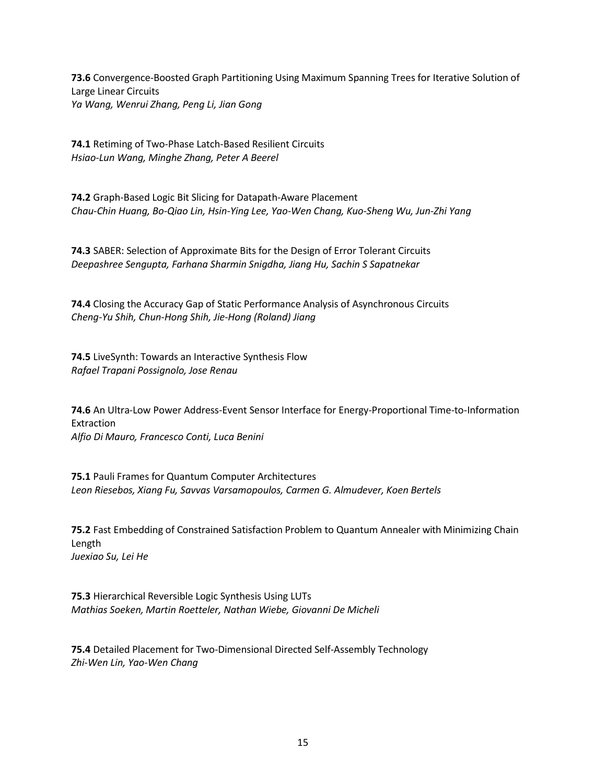**73.6** Convergence-Boosted Graph Partitioning Using Maximum Spanning Trees for Iterative Solution of Large Linear Circuits *Ya Wang, Wenrui Zhang, Peng Li, Jian Gong*

**74.1** Retiming of Two-Phase Latch-Based Resilient Circuits *Hsiao-Lun Wang, Minghe Zhang, Peter A Beerel*

**74.2** Graph-Based Logic Bit Slicing for Datapath-Aware Placement *Chau-Chin Huang, Bo-Qiao Lin, Hsin-Ying Lee, Yao-Wen Chang, Kuo-Sheng Wu, Jun-Zhi Yang*

**74.3** SABER: Selection of Approximate Bits for the Design of Error Tolerant Circuits *Deepashree Sengupta, Farhana Sharmin Snigdha, Jiang Hu, Sachin S Sapatnekar*

**74.4** Closing the Accuracy Gap of Static Performance Analysis of Asynchronous Circuits *Cheng-Yu Shih, Chun-Hong Shih, Jie-Hong (Roland) Jiang*

**74.5** LiveSynth: Towards an Interactive Synthesis Flow *Rafael Trapani Possignolo, Jose Renau*

**74.6** An Ultra-Low Power Address-Event Sensor Interface for Energy-Proportional Time-to-Information **Extraction** *Alfio Di Mauro, Francesco Conti, Luca Benini*

**75.1** Pauli Frames for Quantum Computer Architectures *Leon Riesebos, Xiang Fu, Savvas Varsamopoulos, Carmen G. Almudever, Koen Bertels*

**75.2** Fast Embedding of Constrained Satisfaction Problem to Quantum Annealer with Minimizing Chain Length *Juexiao Su, Lei He*

**75.3** Hierarchical Reversible Logic Synthesis Using LUTs *Mathias Soeken, Martin Roetteler, Nathan Wiebe, Giovanni De Micheli*

**75.4** Detailed Placement for Two-Dimensional Directed Self-Assembly Technology *Zhi-Wen Lin, Yao-Wen Chang*